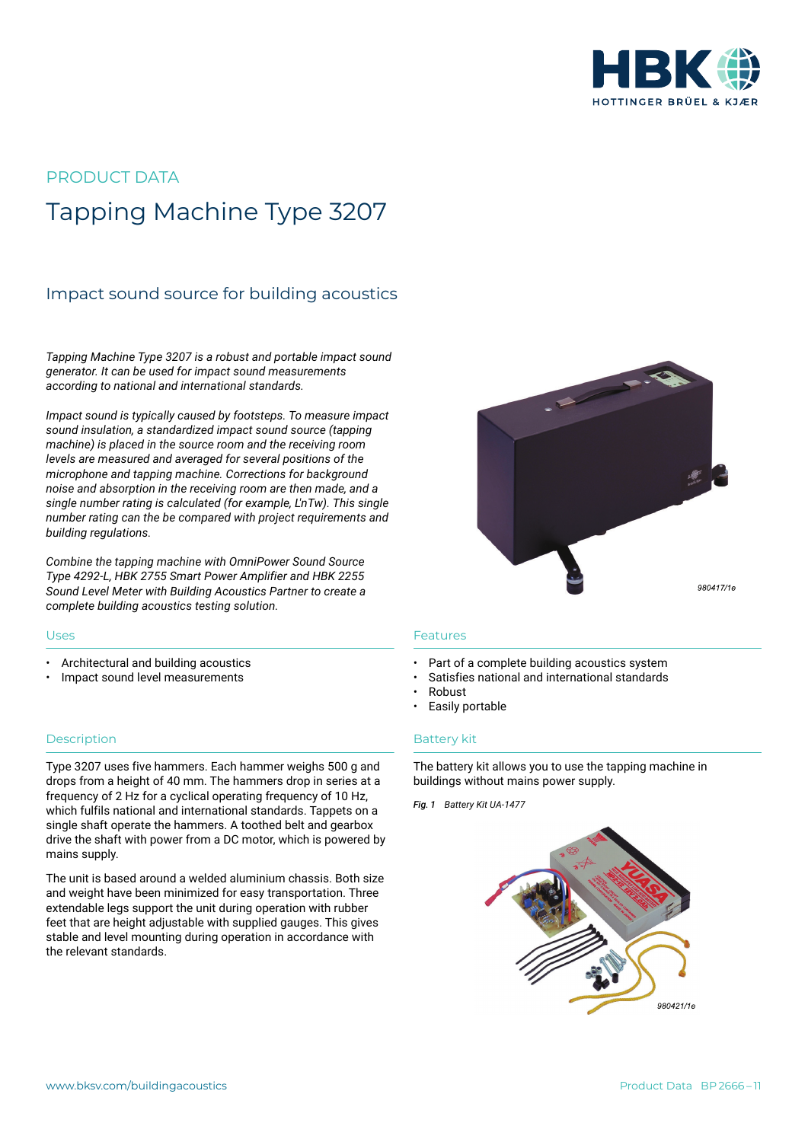

# PRODUCT DATA Tapping Machine Type 3207

## Impact sound source for building acoustics

*Tapping Machine Type 3207 is a robust and portable impact sound generator. It can be used for impact sound measurements according to national and international standards.*

*Impact sound is typically caused by footsteps. To measure impact sound insulation, a standardized impact sound source (tapping machine) is placed in the source room and the receiving room levels are measured and averaged for several positions of the microphone and tapping machine. Corrections for background noise and absorption in the receiving room are then made, and a single number rating is calculated (for example, L'nTw). This single number rating can the be compared with project requirements and building regulations.*

*Combine the tapping machine with OmniPower Sound Source Type 4292-L, HBK 2755 Smart Power Amplifier and HBK 2255 Sound Level Meter with Building Acoustics Partner to create a complete building acoustics testing solution.*

#### Uses

- Architectural and building acoustics
- Impact sound level measurements

### **Description**

Type 3207 uses five hammers. Each hammer weighs 500 g and drops from a height of 40 mm. The hammers drop in series at a frequency of 2 Hz for a cyclical operating frequency of 10 Hz, which fulfils national and international standards. Tappets on a single shaft operate the hammers. A toothed belt and gearbox drive the shaft with power from a DC motor, which is powered by mains supply.

The unit is based around a welded aluminium chassis. Both size and weight have been minimized for easy transportation. Three extendable legs support the unit during operation with rubber feet that are height adjustable with supplied gauges. This gives stable and level mounting during operation in accordance with the relevant standards.



#### Features

- Part of a complete building acoustics system
- Satisfies national and international standards
- Robust
- Easily portable

#### Battery kit

The battery kit allows you to use the tapping machine in buildings without mains power supply.

*Fig. 1 Battery Kit UA-1477*

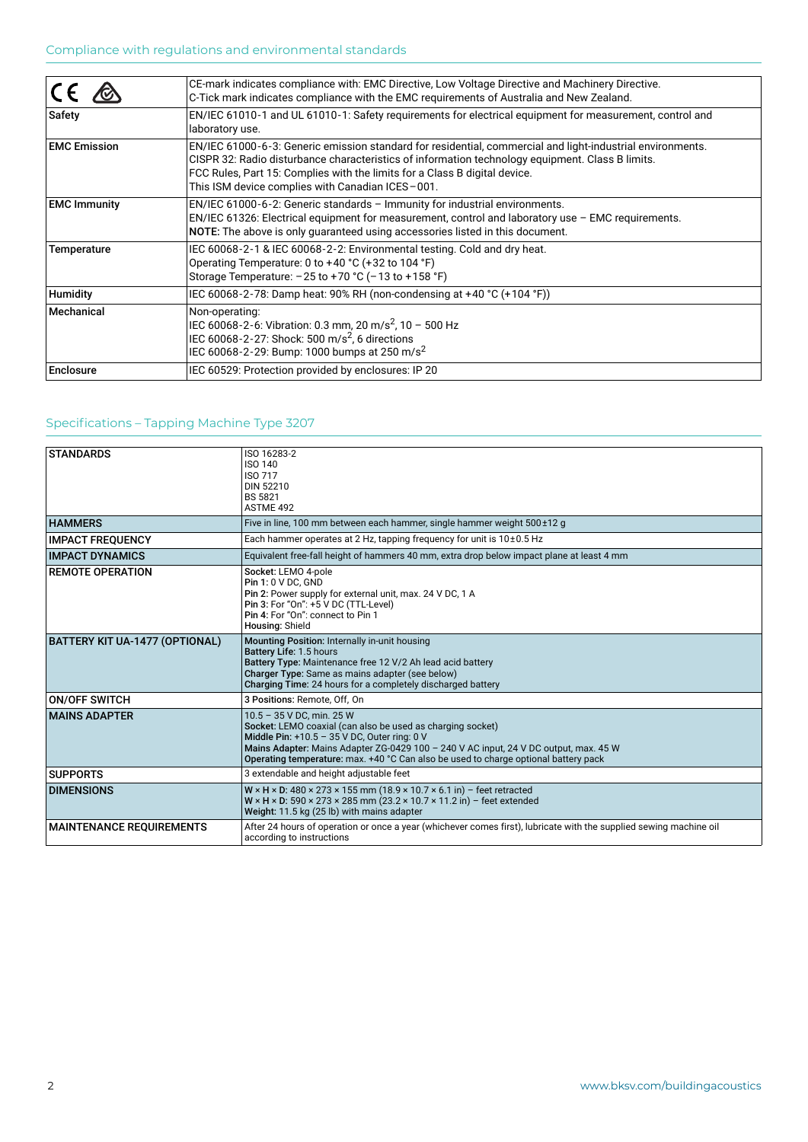|                     | CE-mark indicates compliance with: EMC Directive, Low Voltage Directive and Machinery Directive.<br>C-Tick mark indicates compliance with the EMC requirements of Australia and New Zealand.                                                                                                                                                     |
|---------------------|--------------------------------------------------------------------------------------------------------------------------------------------------------------------------------------------------------------------------------------------------------------------------------------------------------------------------------------------------|
| Safety              | EN/IEC 61010-1 and UL 61010-1: Safety requirements for electrical equipment for measurement, control and<br>laboratory use.                                                                                                                                                                                                                      |
| <b>EMC Emission</b> | EN/IEC 61000-6-3: Generic emission standard for residential, commercial and light-industrial environments.<br>CISPR 32: Radio disturbance characteristics of information technology equipment. Class B limits.<br>FCC Rules, Part 15: Complies with the limits for a Class B digital device.<br>This ISM device complies with Canadian ICES-001. |
| <b>EMC Immunity</b> | $EN/IEC 61000-6-2$ : Generic standards - Immunity for industrial environments.<br>EN/IEC 61326: Electrical equipment for measurement, control and laboratory use - EMC requirements.<br>NOTE: The above is only quaranteed using accessories listed in this document.                                                                            |
| Temperature         | IEC 60068-2-1 & IEC 60068-2-2: Environmental testing. Cold and dry heat.<br>Operating Temperature: 0 to +40 °C (+32 to 104 °F)<br>Storage Temperature: $-25$ to $+70$ °C ( $-13$ to $+158$ °F)                                                                                                                                                   |
| Humidity            | IEC 60068-2-78: Damp heat: 90% RH (non-condensing at +40 °C (+104 °F))                                                                                                                                                                                                                                                                           |
| Mechanical          | Non-operating:<br>IEC 60068-2-6: Vibration: 0.3 mm, 20 m/s <sup>2</sup> , 10 - 500 Hz<br>IEC 60068-2-27: Shock: 500 m/s <sup>2</sup> , 6 directions<br>IEC 60068-2-29: Bump: 1000 bumps at 250 m/s <sup>2</sup>                                                                                                                                  |
| <b>Enclosure</b>    | IEC 60529: Protection provided by enclosures: IP 20                                                                                                                                                                                                                                                                                              |

## Specifications – Tapping Machine Type 3207

| <b>STANDARDS</b>                | ISO 16283-2<br><b>ISO 140</b><br><b>ISO 717</b><br>DIN 52210<br><b>BS 5821</b><br>ASTMF 492                                                                                                                                                                                                                            |
|---------------------------------|------------------------------------------------------------------------------------------------------------------------------------------------------------------------------------------------------------------------------------------------------------------------------------------------------------------------|
| <b>HAMMERS</b>                  | Five in line, 100 mm between each hammer, single hammer weight 500±12 g                                                                                                                                                                                                                                                |
| <b>IMPACT FREQUENCY</b>         | Each hammer operates at 2 Hz, tapping frequency for unit is 10±0.5 Hz                                                                                                                                                                                                                                                  |
| <b>IMPACT DYNAMICS</b>          | Equivalent free-fall height of hammers 40 mm, extra drop below impact plane at least 4 mm                                                                                                                                                                                                                              |
| <b>REMOTE OPERATION</b>         | Socket: LEMO 4-pole<br><b>Pin 1: 0 V DC. GND</b><br>Pin 2: Power supply for external unit, max. 24 V DC, 1 A<br>Pin 3: For "On": +5 V DC (TTL-Level)<br>Pin 4: For "On": connect to Pin 1<br>Housing: Shield                                                                                                           |
| BATTERY KIT UA-1477 (OPTIONAL)  | Mounting Position: Internally in-unit housing<br>Battery Life: 1.5 hours<br>Battery Type: Maintenance free 12 V/2 Ah lead acid battery<br>Charger Type: Same as mains adapter (see below)<br>Charging Time: 24 hours for a completely discharged battery                                                               |
| <b>ON/OFF SWITCH</b>            | 3 Positions: Remote, Off, On                                                                                                                                                                                                                                                                                           |
| <b>MAINS ADAPTER</b>            | 10.5 - 35 V DC, min. 25 W<br>Socket: LEMO coaxial (can also be used as charging socket)<br>Middle Pin: +10.5 - 35 V DC, Outer ring: 0 V<br>Mains Adapter: Mains Adapter ZG-0429 100 - 240 V AC input, 24 V DC output, max. 45 W<br>Operating temperature: max. +40 °C Can also be used to charge optional battery pack |
| <b>SUPPORTS</b>                 | 3 extendable and height adjustable feet                                                                                                                                                                                                                                                                                |
| <b>DIMENSIONS</b>               | $W \times H \times D$ : 480 × 273 × 155 mm (18.9 × 10.7 × 6.1 in) - feet retracted<br>$W \times H \times D$ : 590 × 273 × 285 mm (23.2 × 10.7 × 11.2 in) - feet extended<br>Weight: 11.5 kg (25 lb) with mains adapter                                                                                                 |
| <b>MAINTENANCE REQUIREMENTS</b> | After 24 hours of operation or once a year (whichever comes first), lubricate with the supplied sewing machine oil<br>according to instructions                                                                                                                                                                        |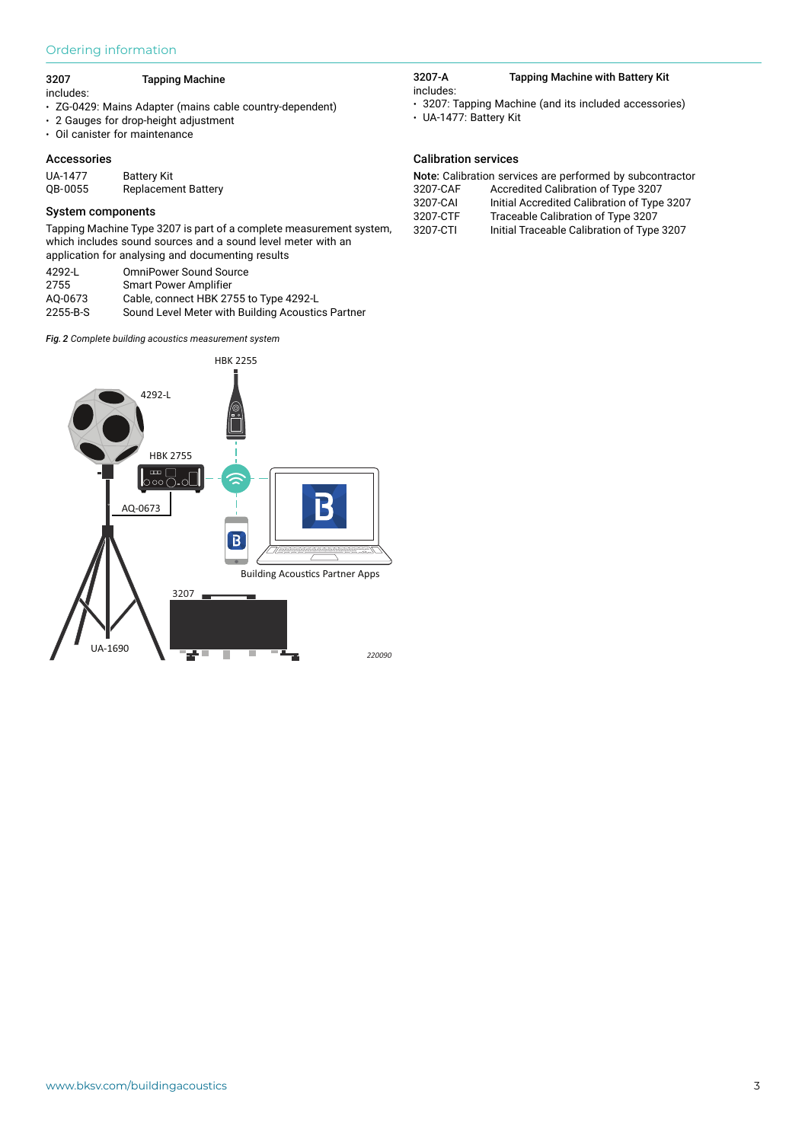## Ordering information

#### 3207 Tapping Machine

includes:

- ZG-0429: Mains Adapter (mains cable country-dependent)
- 2 Gauges for drop-height adjustment
- Oil canister for maintenance

#### Accessories

| UA-1477 | <b>Battery Kit</b>         |
|---------|----------------------------|
| QB-0055 | <b>Replacement Battery</b> |

#### System components

Tapping Machine Type 3207 is part of a complete measurement system, which includes sound sources and a sound level meter with an application for analysing and documenting results

| 4292-L   | <b>OmniPower Sound Source</b>                     |
|----------|---------------------------------------------------|
| 2755     | <b>Smart Power Amplifier</b>                      |
| AO-0673  | Cable, connect HBK 2755 to Type 4292-L            |
| 2255-B-S | Sound Level Meter with Building Acoustics Partner |

*Fig. 2 Complete building acoustics measurement system* 



#### 3207-A Tapping Machine with Battery Kit includes:

- 3207: Tapping Machine (and its included accessories)
- UA-1477: Battery Kit

## Calibration services

| Note: Calibration services are performed by subcontractor |                                             |  |
|-----------------------------------------------------------|---------------------------------------------|--|
| 3207-CAF                                                  | Accredited Calibration of Type 3207         |  |
| 3207-CAI                                                  | Initial Accredited Calibration of Type 3207 |  |
| 3207-CTF                                                  | Traceable Calibration of Type 3207          |  |
| 3207-CTI                                                  | Initial Traceable Calibration of Type 3207  |  |